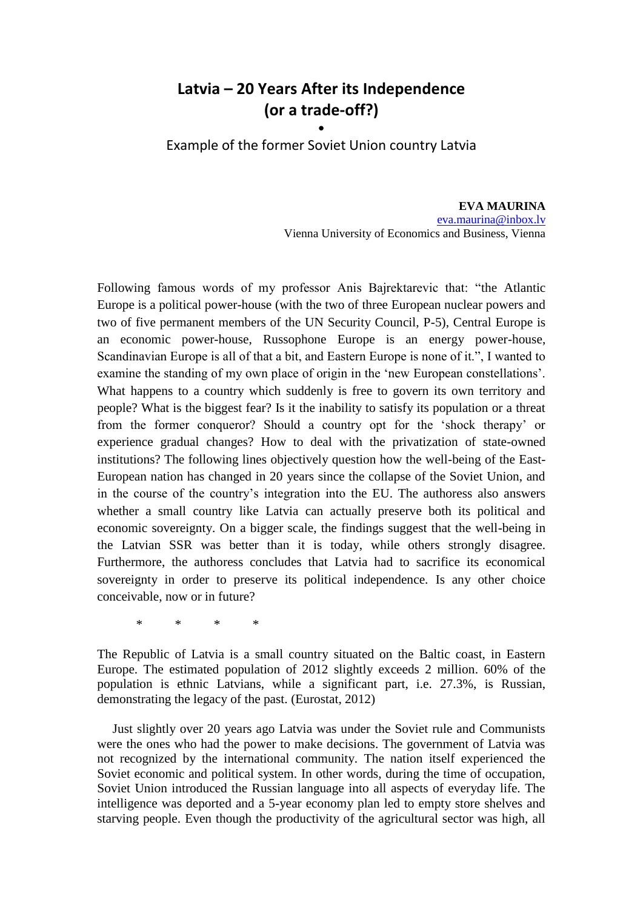## **Latvia – 20 Years After its Independence (or a trade-off?)**

**•** Example of the former Soviet Union country Latvia

> **EVA MAURINA** [eva.maurina@inbox.lv](mailto:eva.maurina@inbox.lv) Vienna University of Economics and Business, Vienna

Following famous words of my professor Anis Bajrektarevic that: "the Atlantic Europe is a political power-house (with the two of three European nuclear powers and two of five permanent members of the UN Security Council, P-5), Central Europe is an economic power-house, Russophone Europe is an energy power-house, Scandinavian Europe is all of that a bit, and Eastern Europe is none of it.", I wanted to examine the standing of my own place of origin in the "new European constellations". What happens to a country which suddenly is free to govern its own territory and people? What is the biggest fear? Is it the inability to satisfy its population or a threat from the former conqueror? Should a country opt for the "shock therapy" or experience gradual changes? How to deal with the privatization of state-owned institutions? The following lines objectively question how the well-being of the East-European nation has changed in 20 years since the collapse of the Soviet Union, and in the course of the country"s integration into the EU. The authoress also answers whether a small country like Latvia can actually preserve both its political and economic sovereignty. On a bigger scale, the findings suggest that the well-being in the Latvian SSR was better than it is today, while others strongly disagree. Furthermore, the authoress concludes that Latvia had to sacrifice its economical sovereignty in order to preserve its political independence. Is any other choice conceivable, now or in future?

\* \* \* \*

The Republic of Latvia is a small country situated on the Baltic coast, in Eastern Europe. The estimated population of 2012 slightly exceeds 2 million. 60% of the population is ethnic Latvians, while a significant part, i.e. 27.3%, is Russian, demonstrating the legacy of the past. (Eurostat, 2012)

Just slightly over 20 years ago Latvia was under the Soviet rule and Communists were the ones who had the power to make decisions. The government of Latvia was not recognized by the international community. The nation itself experienced the Soviet economic and political system. In other words, during the time of occupation, Soviet Union introduced the Russian language into all aspects of everyday life. The intelligence was deported and a 5-year economy plan led to empty store shelves and starving people. Even though the productivity of the agricultural sector was high, all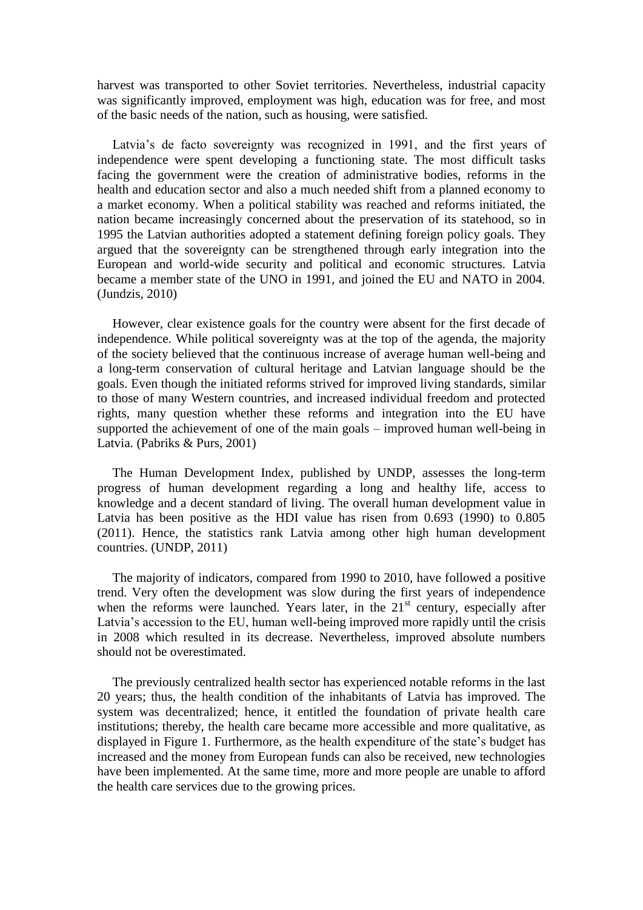harvest was transported to other Soviet territories. Nevertheless, industrial capacity was significantly improved, employment was high, education was for free, and most of the basic needs of the nation, such as housing, were satisfied.

Latvia's de facto sovereignty was recognized in 1991, and the first years of independence were spent developing a functioning state. The most difficult tasks facing the government were the creation of administrative bodies, reforms in the health and education sector and also a much needed shift from a planned economy to a market economy. When a political stability was reached and reforms initiated, the nation became increasingly concerned about the preservation of its statehood, so in 1995 the Latvian authorities adopted a statement defining foreign policy goals. They argued that the sovereignty can be strengthened through early integration into the European and world-wide security and political and economic structures. Latvia became a member state of the UNO in 1991, and joined the EU and NATO in 2004. (Jundzis, 2010)

However, clear existence goals for the country were absent for the first decade of independence. While political sovereignty was at the top of the agenda, the majority of the society believed that the continuous increase of average human well-being and a long-term conservation of cultural heritage and Latvian language should be the goals. Even though the initiated reforms strived for improved living standards, similar to those of many Western countries, and increased individual freedom and protected rights, many question whether these reforms and integration into the EU have supported the achievement of one of the main goals – improved human well-being in Latvia. (Pabriks & Purs, 2001)

The Human Development Index, published by UNDP, assesses the long-term progress of human development regarding a long and healthy life, access to knowledge and a decent standard of living. The overall human development value in Latvia has been positive as the HDI value has risen from 0.693 (1990) to 0.805 (2011). Hence, the statistics rank Latvia among other high human development countries. (UNDP, 2011)

The majority of indicators, compared from 1990 to 2010, have followed a positive trend. Very often the development was slow during the first years of independence when the reforms were launched. Years later, in the  $21<sup>st</sup>$  century, especially after Latvia's accession to the EU, human well-being improved more rapidly until the crisis in 2008 which resulted in its decrease. Nevertheless, improved absolute numbers should not be overestimated.

The previously centralized health sector has experienced notable reforms in the last 20 years; thus, the health condition of the inhabitants of Latvia has improved. The system was decentralized; hence, it entitled the foundation of private health care institutions; thereby, the health care became more accessible and more qualitative, as displayed in Figure 1. Furthermore, as the health expenditure of the state's budget has increased and the money from European funds can also be received, new technologies have been implemented. At the same time, more and more people are unable to afford the health care services due to the growing prices.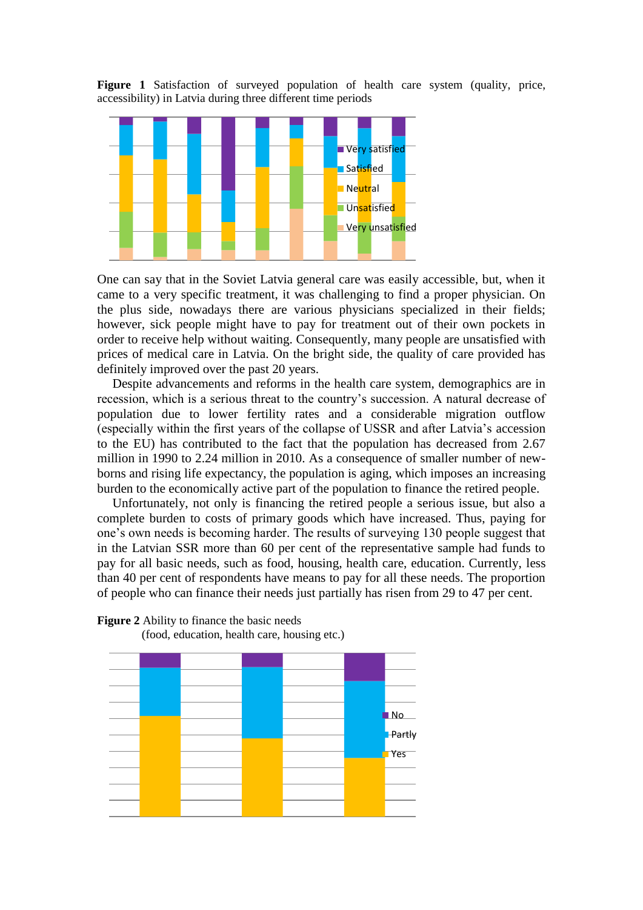**Figure 1** Satisfaction of surveyed population of health care system (quality, price, accessibility) in Latvia during three different time periods



One can say that in the Soviet Latvia general care was easily accessible, but, when it came to a very specific treatment, it was challenging to find a proper physician. On the plus side, nowadays there are various physicians specialized in their fields; however, sick people might have to pay for treatment out of their own pockets in order to receive help without waiting. Consequently, many people are unsatisfied with prices of medical care in Latvia. On the bright side, the quality of care provided has definitely improved over the past 20 years.

Despite advancements and reforms in the health care system, demographics are in recession, which is a serious threat to the country"s succession. A natural decrease of population due to lower fertility rates and a considerable migration outflow (especially within the first years of the collapse of USSR and after Latvia"s accession to the EU) has contributed to the fact that the population has decreased from 2.67 million in 1990 to 2.24 million in 2010. As a consequence of smaller number of newborns and rising life expectancy, the population is aging, which imposes an increasing burden to the economically active part of the population to finance the retired people.

Unfortunately, not only is financing the retired people a serious issue, but also a complete burden to costs of primary goods which have increased. Thus, paying for one"s own needs is becoming harder. The results of surveying 130 people suggest that in the Latvian SSR more than 60 per cent of the representative sample had funds to pay for all basic needs, such as food, housing, health care, education. Currently, less than 40 per cent of respondents have means to pay for all these needs. The proportion of people who can finance their needs just partially has risen from 29 to 47 per cent.



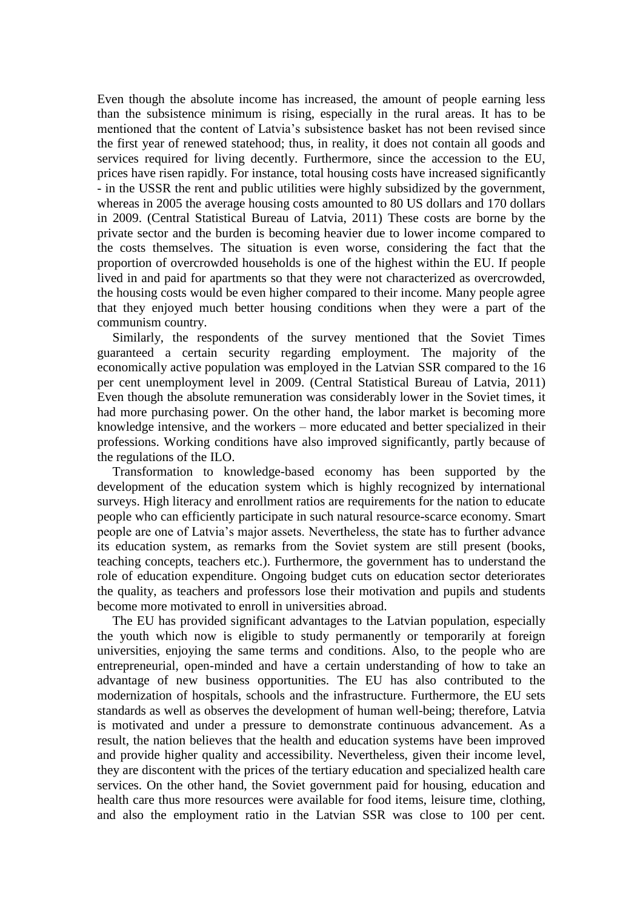Even though the absolute income has increased, the amount of people earning less than the subsistence minimum is rising, especially in the rural areas. It has to be mentioned that the content of Latvia"s subsistence basket has not been revised since the first year of renewed statehood; thus, in reality, it does not contain all goods and services required for living decently. Furthermore, since the accession to the EU, prices have risen rapidly. For instance, total housing costs have increased significantly - in the USSR the rent and public utilities were highly subsidized by the government, whereas in 2005 the average housing costs amounted to 80 US dollars and 170 dollars in 2009. (Central Statistical Bureau of Latvia, 2011) These costs are borne by the private sector and the burden is becoming heavier due to lower income compared to the costs themselves. The situation is even worse, considering the fact that the proportion of overcrowded households is one of the highest within the EU. If people lived in and paid for apartments so that they were not characterized as overcrowded, the housing costs would be even higher compared to their income. Many people agree that they enjoyed much better housing conditions when they were a part of the communism country.

Similarly, the respondents of the survey mentioned that the Soviet Times guaranteed a certain security regarding employment. The majority of the economically active population was employed in the Latvian SSR compared to the 16 per cent unemployment level in 2009. (Central Statistical Bureau of Latvia, 2011) Even though the absolute remuneration was considerably lower in the Soviet times, it had more purchasing power. On the other hand, the labor market is becoming more knowledge intensive, and the workers – more educated and better specialized in their professions. Working conditions have also improved significantly, partly because of the regulations of the ILO.

Transformation to knowledge-based economy has been supported by the development of the education system which is highly recognized by international surveys. High literacy and enrollment ratios are requirements for the nation to educate people who can efficiently participate in such natural resource-scarce economy. Smart people are one of Latvia"s major assets. Nevertheless, the state has to further advance its education system, as remarks from the Soviet system are still present (books, teaching concepts, teachers etc.). Furthermore, the government has to understand the role of education expenditure. Ongoing budget cuts on education sector deteriorates the quality, as teachers and professors lose their motivation and pupils and students become more motivated to enroll in universities abroad.

The EU has provided significant advantages to the Latvian population, especially the youth which now is eligible to study permanently or temporarily at foreign universities, enjoying the same terms and conditions. Also, to the people who are entrepreneurial, open-minded and have a certain understanding of how to take an advantage of new business opportunities. The EU has also contributed to the modernization of hospitals, schools and the infrastructure. Furthermore, the EU sets standards as well as observes the development of human well-being; therefore, Latvia is motivated and under a pressure to demonstrate continuous advancement. As a result, the nation believes that the health and education systems have been improved and provide higher quality and accessibility. Nevertheless, given their income level, they are discontent with the prices of the tertiary education and specialized health care services. On the other hand, the Soviet government paid for housing, education and health care thus more resources were available for food items, leisure time, clothing, and also the employment ratio in the Latvian SSR was close to 100 per cent.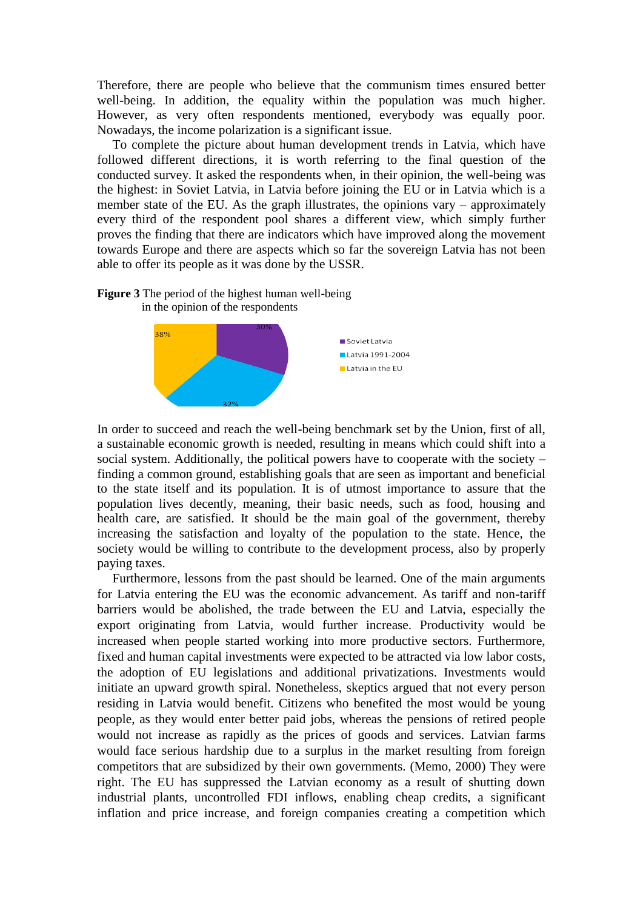Therefore, there are people who believe that the communism times ensured better well-being. In addition, the equality within the population was much higher. However, as very often respondents mentioned, everybody was equally poor. Nowadays, the income polarization is a significant issue.

To complete the picture about human development trends in Latvia, which have followed different directions, it is worth referring to the final question of the conducted survey. It asked the respondents when, in their opinion, the well-being was the highest: in Soviet Latvia, in Latvia before joining the EU or in Latvia which is a member state of the EU. As the graph illustrates, the opinions vary – approximately every third of the respondent pool shares a different view, which simply further proves the finding that there are indicators which have improved along the movement towards Europe and there are aspects which so far the sovereign Latvia has not been able to offer its people as it was done by the USSR.



**Figure 3** The period of the highest human well-being in the opinion of the respondents

In order to succeed and reach the well-being benchmark set by the Union, first of all, a sustainable economic growth is needed, resulting in means which could shift into a social system. Additionally, the political powers have to cooperate with the society  $$ finding a common ground, establishing goals that are seen as important and beneficial to the state itself and its population. It is of utmost importance to assure that the population lives decently, meaning, their basic needs, such as food, housing and health care, are satisfied. It should be the main goal of the government, thereby increasing the satisfaction and loyalty of the population to the state. Hence, the society would be willing to contribute to the development process, also by properly paying taxes.

Furthermore, lessons from the past should be learned. One of the main arguments for Latvia entering the EU was the economic advancement. As tariff and non-tariff barriers would be abolished, the trade between the EU and Latvia, especially the export originating from Latvia, would further increase. Productivity would be increased when people started working into more productive sectors. Furthermore, fixed and human capital investments were expected to be attracted via low labor costs, the adoption of EU legislations and additional privatizations. Investments would initiate an upward growth spiral. Nonetheless, skeptics argued that not every person residing in Latvia would benefit. Citizens who benefited the most would be young people, as they would enter better paid jobs, whereas the pensions of retired people would not increase as rapidly as the prices of goods and services. Latvian farms would face serious hardship due to a surplus in the market resulting from foreign competitors that are subsidized by their own governments. (Memo, 2000) They were right. The EU has suppressed the Latvian economy as a result of shutting down industrial plants, uncontrolled FDI inflows, enabling cheap credits, a significant inflation and price increase, and foreign companies creating a competition which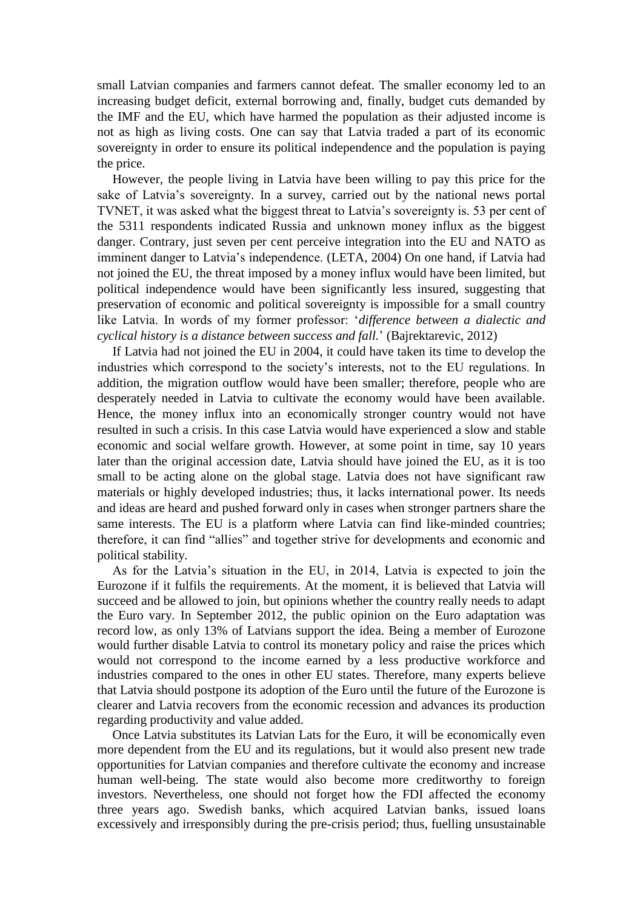small Latvian companies and farmers cannot defeat. The smaller economy led to an increasing budget deficit, external borrowing and, finally, budget cuts demanded by the IMF and the EU, which have harmed the population as their adjusted income is not as high as living costs. One can say that Latvia traded a part of its economic sovereignty in order to ensure its political independence and the population is paying the price.

However, the people living in Latvia have been willing to pay this price for the sake of Latvia's sovereignty. In a survey, carried out by the national news portal TVNET, it was asked what the biggest threat to Latvia's sovereignty is. 53 per cent of the 5311 respondents indicated Russia and unknown money influx as the biggest danger. Contrary, just seven per cent perceive integration into the EU and NATO as imminent danger to Latvia"s independence. (LETA, 2004) On one hand, if Latvia had not joined the EU, the threat imposed by a money influx would have been limited, but political independence would have been significantly less insured, suggesting that preservation of economic and political sovereignty is impossible for a small country like Latvia. In words of my former professor: "*difference between a dialectic and cyclical history is a distance between success and fall.*" (Bajrektarevic, 2012)

If Latvia had not joined the EU in 2004, it could have taken its time to develop the industries which correspond to the society"s interests, not to the EU regulations. In addition, the migration outflow would have been smaller; therefore, people who are desperately needed in Latvia to cultivate the economy would have been available. Hence, the money influx into an economically stronger country would not have resulted in such a crisis. In this case Latvia would have experienced a slow and stable economic and social welfare growth. However, at some point in time, say 10 years later than the original accession date, Latvia should have joined the EU, as it is too small to be acting alone on the global stage. Latvia does not have significant raw materials or highly developed industries; thus, it lacks international power. Its needs and ideas are heard and pushed forward only in cases when stronger partners share the same interests. The EU is a platform where Latvia can find like-minded countries; therefore, it can find "allies" and together strive for developments and economic and political stability.

As for the Latvia"s situation in the EU, in 2014, Latvia is expected to join the Eurozone if it fulfils the requirements. At the moment, it is believed that Latvia will succeed and be allowed to join, but opinions whether the country really needs to adapt the Euro vary. In September 2012, the public opinion on the Euro adaptation was record low, as only 13% of Latvians support the idea. Being a member of Eurozone would further disable Latvia to control its monetary policy and raise the prices which would not correspond to the income earned by a less productive workforce and industries compared to the ones in other EU states. Therefore, many experts believe that Latvia should postpone its adoption of the Euro until the future of the Eurozone is clearer and Latvia recovers from the economic recession and advances its production regarding productivity and value added.

Once Latvia substitutes its Latvian Lats for the Euro, it will be economically even more dependent from the EU and its regulations, but it would also present new trade opportunities for Latvian companies and therefore cultivate the economy and increase human well-being. The state would also become more creditworthy to foreign investors. Nevertheless, one should not forget how the FDI affected the economy three years ago. Swedish banks, which acquired Latvian banks, issued loans excessively and irresponsibly during the pre-crisis period; thus, fuelling unsustainable